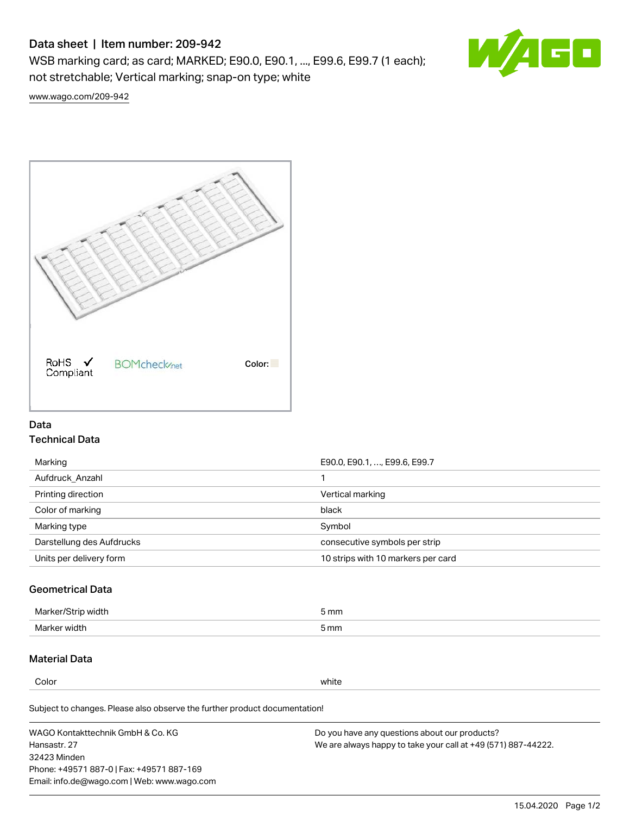# Data sheet | Item number: 209-942

WSB marking card; as card; MARKED; E90.0, E90.1, ..., E99.6, E99.7 (1 each); not stretchable; Vertical marking; snap-on type; white



[www.wago.com/209-942](http://www.wago.com/209-942)



## Data Technical Data

| Marking                   | E90.0, E90.1, , E99.6, E99.7       |
|---------------------------|------------------------------------|
| Aufdruck Anzahl           |                                    |
| Printing direction        | Vertical marking                   |
| Color of marking          | black                              |
| Marking type              | Symbol                             |
| Darstellung des Aufdrucks | consecutive symbols per strip      |
| Units per delivery form   | 10 strips with 10 markers per card |

## Geometrical Data

| طلقاء ئ<br><b>Marker</b><br>widtr | ັກmm |
|-----------------------------------|------|
| Marker width                      | 5 mm |

## Material Data

Color white

Subject to changes. Please also observe the further product documentation!

WAGO Kontakttechnik GmbH & Co. KG Hansastr. 27 32423 Minden Phone: +49571 887-0 | Fax: +49571 887-169 Email: info.de@wago.com | Web: www.wago.com Do you have any questions about our products? We are always happy to take your call at +49 (571) 887-44222.